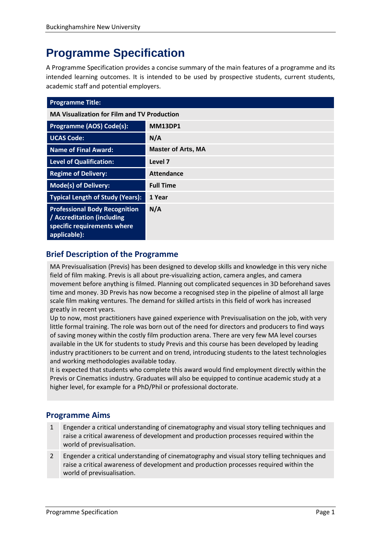# **Programme Specification**

A Programme Specification provides a concise summary of the main features of a programme and its intended learning outcomes. It is intended to be used by prospective students, current students, academic staff and potential employers.

| <b>Programme Title:</b>                                                                                           |                           |
|-------------------------------------------------------------------------------------------------------------------|---------------------------|
| <b>MA Visualization for Film and TV Production</b>                                                                |                           |
| Programme (AOS) Code(s):                                                                                          | <b>MM13DP1</b>            |
| <b>UCAS Code:</b>                                                                                                 | N/A                       |
| <b>Name of Final Award:</b>                                                                                       | <b>Master of Arts, MA</b> |
| <b>Level of Qualification:</b>                                                                                    | Level 7                   |
| <b>Regime of Delivery:</b>                                                                                        | <b>Attendance</b>         |
| <b>Mode(s) of Delivery:</b>                                                                                       | <b>Full Time</b>          |
| <b>Typical Length of Study (Years):</b>                                                                           | 1 Year                    |
| <b>Professional Body Recognition</b><br>/ Accreditation (including<br>specific requirements where<br>applicable): | N/A                       |

# **Brief Description of the Programme**

MA Previsualisation (Previs) has been designed to develop skills and knowledge in this very niche field of film making. Previs is all about pre-visualizing action, camera angles, and camera movement before anything is filmed. Planning out complicated sequences in 3D beforehand saves time and money. 3D Previs has now become a recognised step in the pipeline of almost all large scale film making ventures. The demand for skilled artists in this field of work has increased greatly in recent years.

Up to now, most practitioners have gained experience with Previsualisation on the job, with very little formal training. The role was born out of the need for directors and producers to find ways of saving money within the costly film production arena. There are very few MA level courses available in the UK for students to study Previs and this course has been developed by leading industry practitioners to be current and on trend, introducing students to the latest technologies and working methodologies available today.

It is expected that students who complete this award would find employment directly within the Previs or Cinematics industry. Graduates will also be equipped to continue academic study at a higher level, for example for a PhD/Phil or professional doctorate.

# **Programme Aims**

- 1 Engender a critical understanding of cinematography and visual story telling techniques and raise a critical awareness of development and production processes required within the world of previsualisation.
- 2 Engender a critical understanding of cinematography and visual story telling techniques and raise a critical awareness of development and production processes required within the world of previsualisation.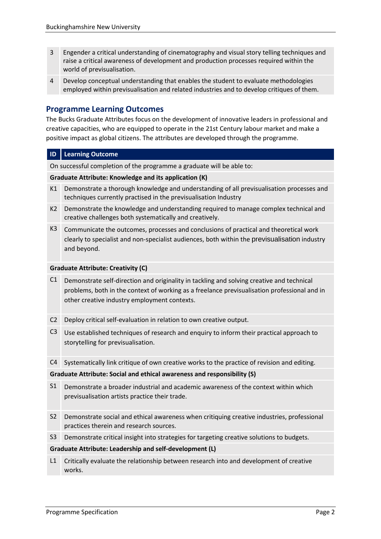- 3 Engender a critical understanding of cinematography and visual story telling techniques and raise a critical awareness of development and production processes required within the world of previsualisation.
- 4 Develop conceptual understanding that enables the student to evaluate methodologies employed within previsualisation and related industries and to develop critiques of them.

# **Programme Learning Outcomes**

The Bucks Graduate Attributes focus on the development of innovative leaders in professional and creative capacities, who are equipped to operate in the 21st Century labour market and make a positive impact as global citizens. The attributes are developed through the programme.

#### **ID Learning Outcome**

On successful completion of the programme a graduate will be able to:

#### **Graduate Attribute: Knowledge and its application (K)**

- K1 Demonstrate a thorough knowledge and understanding of all previsualisation processes and techniques currently practised in the previsualisation Industry
- K2 Demonstrate the knowledge and understanding required to manage complex technical and creative challenges both systematically and creatively.
- K3 Communicate the outcomes, processes and conclusions of practical and theoretical work clearly to specialist and non-specialist audiences, both within the previsualisation industry and beyond.

#### **Graduate Attribute: Creativity (C)**

- C1 Demonstrate self-direction and originality in tackling and solving creative and technical problems, both in the context of working as a freelance previsualisation professional and in other creative industry employment contexts.
- C2 Deploy critical self-evaluation in relation to own creative output.
- C3 Use established techniques of research and enquiry to inform their practical approach to storytelling for previsualisation.

C4 Systematically link critique of own creative works to the practice of revision and editing.

#### **Graduate Attribute: Social and ethical awareness and responsibility (S)**

- S1 Demonstrate a broader industrial and academic awareness of the context within which previsualisation artists practice their trade.
- S2 Demonstrate social and ethical awareness when critiquing creative industries, professional practices therein and research sources.
- S3 Demonstrate critical insight into strategies for targeting creative solutions to budgets.

#### **Graduate Attribute: Leadership and self-development (L)**

L1 Critically evaluate the relationship between research into and development of creative works.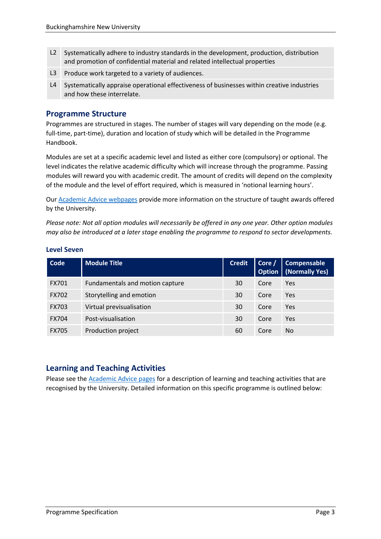- L2 Systematically adhere to industry standards in the development, production, distribution and promotion of confidential material and related intellectual properties
- L3 Produce work targeted to a variety of audiences.
- L4 Systematically appraise operational effectiveness of businesses within creative industries and how these interrelate.

#### **Programme Structure**

Programmes are structured in stages. The number of stages will vary depending on the mode (e.g. full-time, part-time), duration and location of study which will be detailed in the Programme Handbook.

Modules are set at a specific academic level and listed as either core (compulsory) or optional. The level indicates the relative academic difficulty which will increase through the programme. Passing modules will reward you with academic credit. The amount of credits will depend on the complexity of the module and the level of effort required, which is measured in 'notional learning hours'.

Our [Academic Advice webpages](https://bucks.ac.uk/students/academicadvice/course-structure-and-regulations/how-your-course-is-structured) provide more information on the structure of taught awards offered by the University.

*Please note: Not all option modules will necessarily be offered in any one year. Other option modules may also be introduced at a later stage enabling the programme to respond to sector developments.*

| Code         | <b>Module Title</b>             | <b>Credit</b> | Core $/$ | Compensable<br><b>Option</b>   (Normally Yes) |
|--------------|---------------------------------|---------------|----------|-----------------------------------------------|
| <b>FX701</b> | Fundamentals and motion capture | 30            | Core     | Yes                                           |
| <b>FX702</b> | Storytelling and emotion        | 30            | Core     | Yes                                           |
| <b>FX703</b> | Virtual previsualisation        | 30            | Core     | Yes                                           |
| <b>FX704</b> | Post-visualisation              | 30            | Core     | Yes                                           |
| <b>FX705</b> | Production project              | 60            | Core     | No                                            |

#### **Level Seven**

# **Learning and Teaching Activities**

Please see the [Academic Advice pages](https://bucks.ac.uk/students/academicadvice/course-structure-and-regulations/learning-and-teaching-activities) for a description of learning and teaching activities that are recognised by the University. Detailed information on this specific programme is outlined below: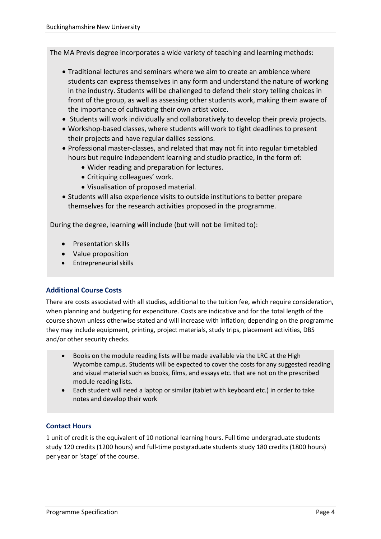The MA Previs degree incorporates a wide variety of teaching and learning methods:

- Traditional lectures and seminars where we aim to create an ambience where students can express themselves in any form and understand the nature of working in the industry. Students will be challenged to defend their story telling choices in front of the group, as well as assessing other students work, making them aware of the importance of cultivating their own artist voice.
- Students will work individually and collaboratively to develop their previz projects.
- Workshop-based classes, where students will work to tight deadlines to present their projects and have regular dallies sessions.
- Professional master-classes, and related that may not fit into regular timetabled hours but require independent learning and studio practice, in the form of:
	- Wider reading and preparation for lectures.
	- Critiquing colleagues' work.
	- Visualisation of proposed material.
- Students will also experience visits to outside institutions to better prepare themselves for the research activities proposed in the programme.

During the degree, learning will include (but will not be limited to):

- Presentation skills
- Value proposition
- Entrepreneurial skills

## **Additional Course Costs**

There are costs associated with all studies, additional to the tuition fee, which require consideration, when planning and budgeting for expenditure. Costs are indicative and for the total length of the course shown unless otherwise stated and will increase with inflation; depending on the programme they may include equipment, printing, project materials, study trips, placement activities, DBS and/or other security checks.

- Books on the module reading lists will be made available via the LRC at the High Wycombe campus. Students will be expected to cover the costs for any suggested reading and visual material such as books, films, and essays etc. that are not on the prescribed module reading lists.
- Each student will need a laptop or similar (tablet with keyboard etc.) in order to take notes and develop their work

## **Contact Hours**

1 unit of credit is the equivalent of 10 notional learning hours. Full time undergraduate students study 120 credits (1200 hours) and full-time postgraduate students study 180 credits (1800 hours) per year or 'stage' of the course.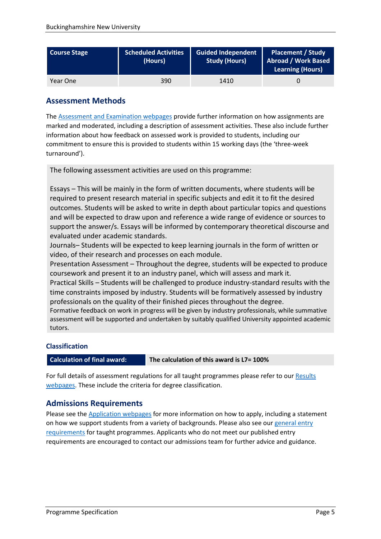| <b>Course Stage</b> | <b>Scheduled Activities</b><br>(Hours) | <b>Guided Independent</b><br><b>Study (Hours)</b> | <b>Placement / Study</b><br>Abroad / Work Based<br>Learning (Hours) |
|---------------------|----------------------------------------|---------------------------------------------------|---------------------------------------------------------------------|
| Year One            | 390                                    | 1410                                              |                                                                     |

# **Assessment Methods**

The [Assessment and Examination webpages](https://bucks.ac.uk/students/academicadvice/assessment-and-examination) provide further information on how assignments are marked and moderated, including a description of assessment activities. These also include further information about how feedback on assessed work is provided to students, including our commitment to ensure this is provided to students within 15 working days (the 'three-week turnaround').

The following assessment activities are used on this programme:

Essays – This will be mainly in the form of written documents, where students will be required to present research material in specific subjects and edit it to fit the desired outcomes. Students will be asked to write in depth about particular topics and questions and will be expected to draw upon and reference a wide range of evidence or sources to support the answer/s. Essays will be informed by contemporary theoretical discourse and evaluated under academic standards.

Journals– Students will be expected to keep learning journals in the form of written or video, of their research and processes on each module.

Presentation Assessment – Throughout the degree, students will be expected to produce coursework and present it to an industry panel, which will assess and mark it.

Practical Skills – Students will be challenged to produce industry-standard results with the time constraints imposed by industry. Students will be formatively assessed by industry professionals on the quality of their finished pieces throughout the degree.

Formative feedback on work in progress will be given by industry professionals, while summative assessment will be supported and undertaken by suitably qualified University appointed academic tutors.

## **Classification**

**Calculation of final award: The calculation of this award is L7= 100%**

For full details of assessment regulations for all taught programmes please refer to our [Results](https://bucks.ac.uk/students/academicadvice/results)  [webpages.](https://bucks.ac.uk/students/academicadvice/results) These include the criteria for degree classification.

# **Admissions Requirements**

Please see the [Application webpages](https://bucks.ac.uk/applying-to-bucks) for more information on how to apply, including a statement on how we support students from a variety of backgrounds. Please also see our general entry [requirements](https://bucks.ac.uk/applying-to-bucks/general-entry-requirements) for taught programmes. Applicants who do not meet our published entry requirements are encouraged to contact our admissions team for further advice and guidance.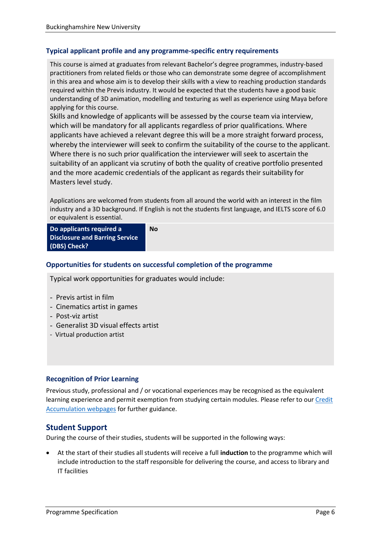#### **Typical applicant profile and any programme-specific entry requirements**

This course is aimed at graduates from relevant Bachelor's degree programmes, industry-based practitioners from related fields or those who can demonstrate some degree of accomplishment in this area and whose aim is to develop their skills with a view to reaching production standards required within the Previs industry. It would be expected that the students have a good basic understanding of 3D animation, modelling and texturing as well as experience using Maya before applying for this course.

Skills and knowledge of applicants will be assessed by the course team via interview, which will be mandatory for all applicants regardless of prior qualifications. Where applicants have achieved a relevant degree this will be a more straight forward process, whereby the interviewer will seek to confirm the suitability of the course to the applicant. Where there is no such prior qualification the interviewer will seek to ascertain the suitability of an applicant via scrutiny of both the quality of creative portfolio presented and the more academic credentials of the applicant as regards their suitability for Masters level study.

Applications are welcomed from students from all around the world with an interest in the film industry and a 3D background. If English is not the students first language, and IELTS score of 6.0 or equivalent is essential.

**Do applicants required a Disclosure and Barring Service (DBS) Check?**

# **No**

#### **Opportunities for students on successful completion of the programme**

Typical work opportunities for graduates would include:

- Previs artist in film
- Cinematics artist in games
- Post-viz artist
- Generalist 3D visual effects artist
- Virtual production artist

#### **Recognition of Prior Learning**

Previous study, professional and / or vocational experiences may be recognised as the equivalent learning experience and permit exemption from studying certain modules. Please refer to ou[r Credit](https://bucks.ac.uk/students/academicadvice/managing-your-studies/credit-accumulation)  [Accumulation webpages](https://bucks.ac.uk/students/academicadvice/managing-your-studies/credit-accumulation) for further guidance.

## **Student Support**

During the course of their studies, students will be supported in the following ways:

• At the start of their studies all students will receive a full **induction** to the programme which will include introduction to the staff responsible for delivering the course, and access to library and IT facilities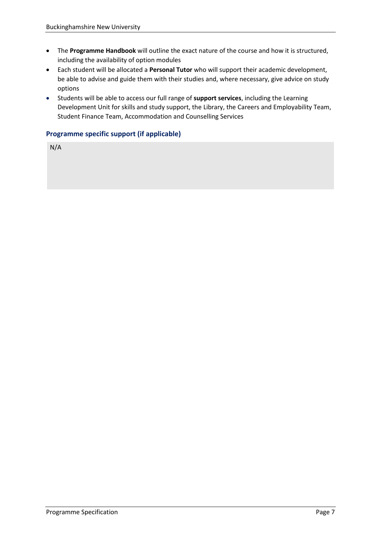- The **Programme Handbook** will outline the exact nature of the course and how it is structured, including the availability of option modules
- Each student will be allocated a **Personal Tutor** who will support their academic development, be able to advise and guide them with their studies and, where necessary, give advice on study options
- Students will be able to access our full range of **support services**, including the Learning Development Unit for skills and study support, the Library, the Careers and Employability Team, Student Finance Team, Accommodation and Counselling Services

#### **Programme specific support (if applicable)**

N/A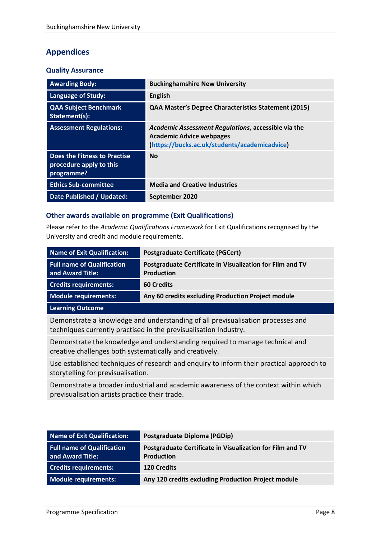# **Appendices**

#### **Quality Assurance**

| <b>Awarding Body:</b>                                                 | <b>Buckinghamshire New University</b>                                                                                                   |
|-----------------------------------------------------------------------|-----------------------------------------------------------------------------------------------------------------------------------------|
| <b>Language of Study:</b>                                             | <b>English</b>                                                                                                                          |
| <b>QAA Subject Benchmark</b><br>Statement(s):                         | <b>QAA Master's Degree Characteristics Statement (2015)</b>                                                                             |
| <b>Assessment Regulations:</b>                                        | Academic Assessment Regulations, accessible via the<br><b>Academic Advice webpages</b><br>(https://bucks.ac.uk/students/academicadvice) |
| Does the Fitness to Practise<br>procedure apply to this<br>programme? | <b>No</b>                                                                                                                               |
| <b>Ethics Sub-committee</b>                                           | <b>Media and Creative Industries</b>                                                                                                    |
| Date Published / Updated:                                             | September 2020                                                                                                                          |

#### **Other awards available on programme (Exit Qualifications)**

Please refer to the *Academic Qualifications Framework* for Exit Qualifications recognised by the University and credit and module requirements.

| Name of Exit Qualification:                           | <b>Postgraduate Certificate (PGCert)</b>                                |
|-------------------------------------------------------|-------------------------------------------------------------------------|
| <b>Full name of Qualification</b><br>and Award Title: | Postgraduate Certificate in Visualization for Film and TV<br>Production |
| <b>Credits requirements:</b>                          | <b>60 Credits</b>                                                       |
| Module requirements:                                  | Any 60 credits excluding Production Project module                      |
| <b>Learning Outcome</b>                               |                                                                         |

Demonstrate a knowledge and understanding of all previsualisation processes and techniques currently practised in the previsualisation Industry.

Demonstrate the knowledge and understanding required to manage technical and creative challenges both systematically and creatively.

Use established techniques of research and enquiry to inform their practical approach to storytelling for previsualisation.

Demonstrate a broader industrial and academic awareness of the context within which previsualisation artists practice their trade.

| Name of Exit Qualification:                           | Postgraduate Diploma (PGDip)                                                   |
|-------------------------------------------------------|--------------------------------------------------------------------------------|
| <b>Full name of Qualification</b><br>and Award Title: | Postgraduate Certificate in Visualization for Film and TV<br><b>Production</b> |
| <b>Credits requirements:</b>                          | <b>120 Credits</b>                                                             |
| Module requirements:                                  | Any 120 credits excluding Production Project module                            |